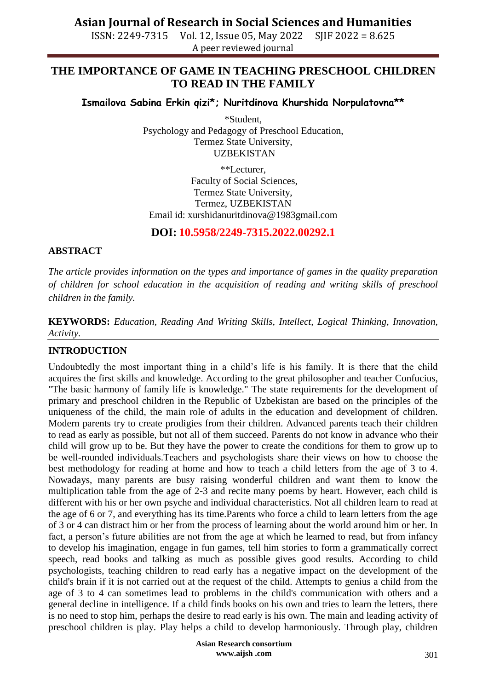## **Asian Journal of Research in Social Sciences and Humanities**

ISSN: 2249-7315 Vol. 12, Issue 05, May 2022 SJIF 2022 = 8.625 A peer reviewed journal

## **THE IMPORTANCE OF GAME IN TEACHING PRESCHOOL CHILDREN TO READ IN THE FAMILY**

**Ismailova Sabina Erkin qizi\*; Nuritdinova Khurshida Norpulatovna\*\***

\*Student, Psychology and Pedagogy of Preschool Education, Termez State University, UZBEKISTAN

\*\*Lecturer, Faculty of Social Sciences, Termez State University, Termez, UZBEKISTAN Email id: [xurshidanuritdinova@1983gmail.com](mailto:xurshidanuritdinova@1983gmail.com)

**DOI: 10.5958/2249-7315.2022.00292.1**

### **ABSTRACT**

*The article provides information on the types and importance of games in the quality preparation of children for school education in the acquisition of reading and writing skills of preschool children in the family.*

**KEYWORDS:** *Education, Reading And Writing Skills, Intellect, Logical Thinking, Innovation, Activity.*

### **INTRODUCTION**

Undoubtedly the most important thing in a child's life is his family. It is there that the child acquires the first skills and knowledge. According to the great philosopher and teacher Confucius, "The basic harmony of family life is knowledge." The state requirements for the development of primary and preschool children in the Republic of Uzbekistan are based on the principles of the uniqueness of the child, the main role of adults in the education and development of children. Modern parents try to create prodigies from their children. Advanced parents teach their children to read as early as possible, but not all of them succeed. Parents do not know in advance who their child will grow up to be. But they have the power to create the conditions for them to grow up to be well-rounded individuals.Teachers and psychologists share their views on how to choose the best methodology for reading at home and how to teach a child letters from the age of 3 to 4. Nowadays, many parents are busy raising wonderful children and want them to know the multiplication table from the age of 2-3 and recite many poems by heart. However, each child is different with his or her own psyche and individual characteristics. Not all children learn to read at the age of 6 or 7, and everything has its time.Parents who force a child to learn letters from the age of 3 or 4 can distract him or her from the process of learning about the world around him or her. In fact, a person's future abilities are not from the age at which he learned to read, but from infancy to develop his imagination, engage in fun games, tell him stories to form a grammatically correct speech, read books and talking as much as possible gives good results. According to child psychologists, teaching children to read early has a negative impact on the development of the child's brain if it is not carried out at the request of the child. Attempts to genius a child from the age of 3 to 4 can sometimes lead to problems in the child's communication with others and a general decline in intelligence. If a child finds books on his own and tries to learn the letters, there is no need to stop him, perhaps the desire to read early is his own. The main and leading activity of preschool children is play. Play helps a child to develop harmoniously. Through play, children

> **Asian Research consortium www.aijsh .com**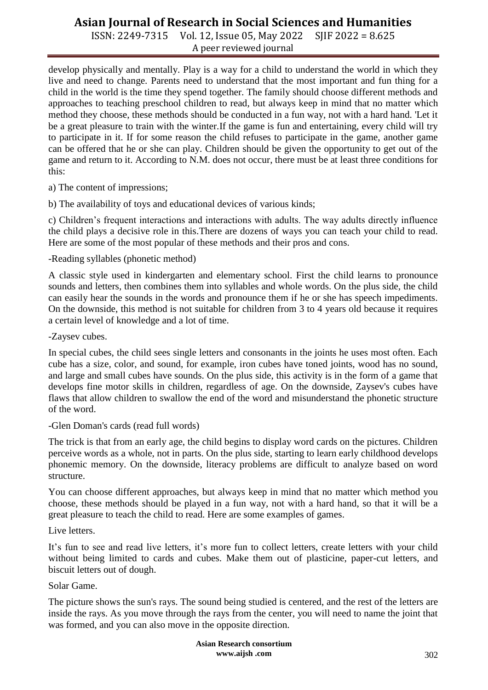# **Asian Journal of Research in Social Sciences and Humanities**

ISSN: 2249-7315 Vol. 12, Issue 05, May 2022 SJIF 2022 = 8.625 A peer reviewed journal

develop physically and mentally. Play is a way for a child to understand the world in which they live and need to change. Parents need to understand that the most important and fun thing for a child in the world is the time they spend together. The family should choose different methods and approaches to teaching preschool children to read, but always keep in mind that no matter which method they choose, these methods should be conducted in a fun way, not with a hard hand. 'Let it be a great pleasure to train with the winter.If the game is fun and entertaining, every child will try to participate in it. If for some reason the child refuses to participate in the game, another game can be offered that he or she can play. Children should be given the opportunity to get out of the game and return to it. According to N.M. does not occur, there must be at least three conditions for this:

a) The content of impressions;

b) The availability of toys and educational devices of various kinds;

c) Children's frequent interactions and interactions with adults. The way adults directly influence the child plays a decisive role in this.There are dozens of ways you can teach your child to read. Here are some of the most popular of these methods and their pros and cons.

-Reading syllables (phonetic method)

A classic style used in kindergarten and elementary school. First the child learns to pronounce sounds and letters, then combines them into syllables and whole words. On the plus side, the child can easily hear the sounds in the words and pronounce them if he or she has speech impediments. On the downside, this method is not suitable for children from 3 to 4 years old because it requires a certain level of knowledge and a lot of time.

-Zaysev cubes.

In special cubes, the child sees single letters and consonants in the joints he uses most often. Each cube has a size, color, and sound, for example, iron cubes have toned joints, wood has no sound, and large and small cubes have sounds. On the plus side, this activity is in the form of a game that develops fine motor skills in children, regardless of age. On the downside, Zaysev's cubes have flaws that allow children to swallow the end of the word and misunderstand the phonetic structure of the word.

-Glen Doman's cards (read full words)

The trick is that from an early age, the child begins to display word cards on the pictures. Children perceive words as a whole, not in parts. On the plus side, starting to learn early childhood develops phonemic memory. On the downside, literacy problems are difficult to analyze based on word structure.

You can choose different approaches, but always keep in mind that no matter which method you choose, these methods should be played in a fun way, not with a hard hand, so that it will be a great pleasure to teach the child to read. Here are some examples of games.

Live letters.

It's fun to see and read live letters, it's more fun to collect letters, create letters with your child without being limited to cards and cubes. Make them out of plasticine, paper-cut letters, and biscuit letters out of dough.

Solar Game.

The picture shows the sun's rays. The sound being studied is centered, and the rest of the letters are inside the rays. As you move through the rays from the center, you will need to name the joint that was formed, and you can also move in the opposite direction.

> **Asian Research consortium www.aijsh .com**